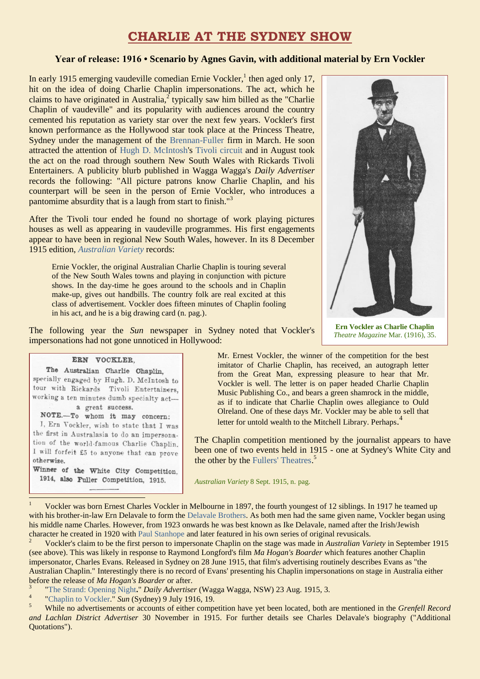# **CHARLIE AT THE SYDNEY SHOW**

## **Year of release: 1916 • Scenario by Agnes Gavin, with additional material by Ern Vockler**

In early 1915 emerging vaudeville comedian Ernie Vockler,<sup>1</sup> then aged only 17, hit on the idea of doing Charlie Chaplin impersonations. The act, which he claims to have originated in Australia, $2$  typically saw him billed as the "Charlie" Chaplin of vaudeville" and its popularity with audiences around the country cemented his reputation as variety star over the next few years. Vockler's first known performance as the Hollywood star took place at the Princess Theatre, Sydney under the management of the [Brennan-Fuller](https://ozvta.com/organisations-a-l/) firm in March. He soon attracted the attention of [Hugh D. McIntosh's](https://ozvta.com/entrepreneurs-m-r/) [Tivoli circuit](https://ozvta.com/organisations-a-l/) and in August took the act on the road through southern New South Wales with Rickards Tivoli Entertainers. A publicity blurb published in Wagga Wagga's *Daily Advertiser* records the following: "All picture patrons know Charlie Chaplin, and his counterpart will be seen in the person of Ernie Vockler, who introduces a pantomime absurdity that is a laugh from start to finish."<sup>3</sup>

After the Tivoli tour ended he found no shortage of work playing pictures houses as well as appearing in vaudeville programmes. His first engagements appear to have been in regional New South Wales, however. In its 8 December 1915 edition, *[Australian Variety](http://ozvta.com/industry-misc-2/2/)* records:

Ernie Vockler, the original Australian Charlie Chaplin is touring several of the New South Wales towns and playing in conjunction with picture shows. In the day-time he goes around to the schools and in Chaplin make-up, gives out handbills. The country folk are real excited at this class of advertisement. Vockler does fifteen minutes of Chaplin fooling in his act, and he is a big drawing card (n. pag.).





**Ern Vockler as Charlie Chaplin** *Theatre Magazine* Mar. (1916), 35.

#### ERN VOCKLER.

The Australian Charlie Chaplin. specially engaged by Hugh. D. McIntosh to tour with Rickards Tivoli Entertainers, working a ten minutes dumb specialty acta great success.

NOTE .- To whom it may concern:

I, Ern Vockler, wish to state that I was the first in Australasia to do an impersonation of the world-famous Charlie Chaplin. I will forfeit £5 to anyone that can prove otherwise.

Winner of the White City Competition. 1914, also Fuller Competition, 1915.

Ī

Mr. Ernest Vockler, the winner of the competition for the best imitator of Charlie Chaplin, has received, an autograph letter from the Great Man, expressing pleasure to hear that Mr. Vockler is well. The letter is on paper headed Charlie Chaplin Music Publishing Co., and bears a green shamrock in the middle, as if to indicate that Charlie Chaplin owes allegiance to Ould Olreland. One of these days Mr. Vockler may be able to sell that letter for untold wealth to the Mitchell Library. Perhaps.<sup>4</sup>

The Chaplin competition mentioned by the journalist appears to have been one of two events held in 1915 - one at Sydney's White City and the other by the [Fullers' Theatres.](https://ozvta.com/organisations-a-l/)<sup>5</sup>

*Australian Variety* 8 Sept. 1915, n. pag.

Vockler was born Ernest Charles Vockler in Melbourne in 1897, the fourth youngest of 12 siblings. In 1917 he teamed up with his brother-in-law Ern Delavale to form the [Delavale Brothers.](https://ozvta.com/practitioners-d/) As both men had the same given name, Vockler began using his middle name Charles. However, from 1923 onwards he was best known as Ike Delavale, named after the Irish/Jewish character he created in 1920 with [Paul Stanhope](https://ozvta.com/practitioners-s/) and later featured in his own series of original revusicals.

<sup>2</sup> Vockler's claim to be the first person to impersonate Chaplin on the stage was made in *Australian Variety* in September 1915 (see above). This was likely in response to Raymond Longford's film *Ma Hogan's Boarder* which features another Chaplin impersonator, Charles Evans. Released in Sydney on 28 June 1915, that film's advertising routinely describes Evans as "the Australian Chaplin." Interestingly there is no record of Evans' presenting his Chaplin impersonations on stage in Australia either before the release of *Ma Hogan's Boarder* or after.

3 ["The Strand: Opening Night](http://trove.nla.gov.au/newspaper/article/141831972)**.**" *Daily Advertiser* (Wagga Wagga, NSW) 23 Aug. 1915, 3.

4 ["Chaplin to Vockler."](http://trove.nla.gov.au/newspaper/article/223365336) *Sun* (Sydney) 9 July 1916, 19.

<sup>5</sup> While no advertisements or accounts of either competition have yet been located, both are mentioned in the *Grenfell Record and Lachlan District Advertiser* 30 November in 1915. For further details see Charles Delavale's biography ("Additional Quotations").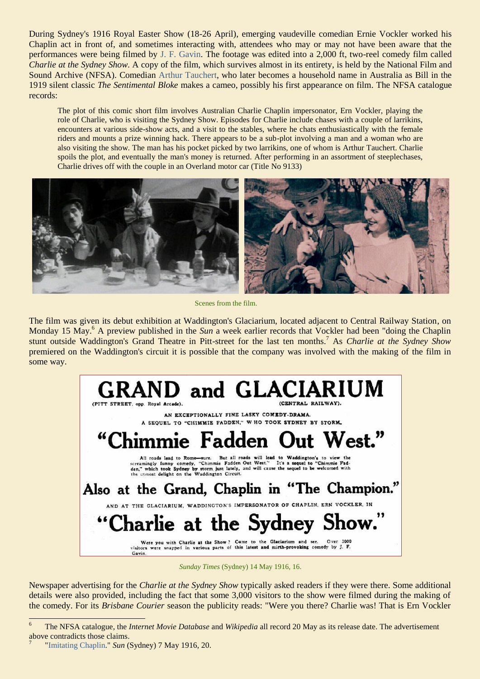During Sydney's 1916 Royal Easter Show (18-26 April), emerging vaudeville comedian Ernie Vockler worked his Chaplin act in front of, and sometimes interacting with, attendees who may or may not have been aware that the performances were being filmed by [J. F. Gavin.](http://ozvta.com/practitioners-other-a-l/) The footage was edited into a 2,000 ft, two-reel comedy film called *Charlie at the Sydney Show.* A copy of the film, which survives almost in its entirety, is held by the National Film and Sound Archive (NFSA). Comedian [Arthur Tauchert,](https://ozvta.com/practitioners-t/) who later becomes a household name in Australia as Bill in the 1919 silent classic *The Sentimental Bloke* makes a cameo, possibly his first appearance on film. The NFSA catalogue records:

The plot of this comic short film involves Australian Charlie Chaplin impersonator, Ern Vockler, playing the role of Charlie, who is visiting the Sydney Show. Episodes for Charlie include chases with a couple of larrikins, encounters at various side-show acts, and a visit to the stables, where he chats enthusiastically with the female riders and mounts a prize winning hack. There appears to be a sub-plot involving a man and a woman who are also visiting the show. The man has his pocket picked by two larrikins, one of whom is Arthur Tauchert. Charlie spoils the plot, and eventually the man's money is returned. After performing in an assortment of steeplechases, Charlie drives off with the couple in an Overland motor car (Title No 9133)



Scenes from the film.

The film was given its debut exhibition at Waddington's Glaciarium, located adjacent to Central Railway Station, on Monday 15 May.<sup>6</sup> A preview published in the *Sun* a week earlier records that Vockler had been "doing the Chaplin stunt outside Waddington's Grand Theatre in Pitt-street for the last ten months.<sup>7</sup> As *Charlie at the Sydney Show* premiered on the Waddington's circuit it is possible that the company was involved with the making of the film in some way.



*Sunday Times* (Sydney) 14 May 1916, 16.

Newspaper advertising for the *Charlie at the Sydney Show* typically asked readers if they were there. Some additional details were also provided, including the fact that some 3,000 visitors to the show were filmed during the making of the comedy. For its *Brisbane Courier* season the publicity reads: "Were you there? Charlie was! That is Ern Vockler

 $\epsilon$ <sup>6</sup> The NFSA catalogue, the *Internet Movie Database* and *Wikipedia* all record 20 May as its release date. The advertisement above contradicts those claims.

<sup>7</sup> ["Imitating Chaplin.](http://trove.nla.gov.au/newspaper/article/221372655)" *Sun* (Sydney) 7 May 1916, 20.